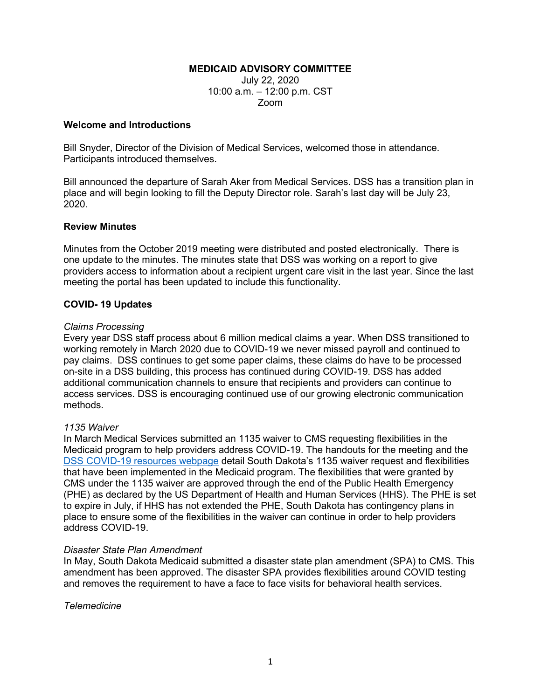# **MEDICAID ADVISORY COMMITTEE**

July 22, 2020 10:00 a.m. – 12:00 p.m. CST Zoom

#### **Welcome and Introductions**

Bill Snyder, Director of the Division of Medical Services, welcomed those in attendance. Participants introduced themselves.

Bill announced the departure of Sarah Aker from Medical Services. DSS has a transition plan in place and will begin looking to fill the Deputy Director role. Sarah's last day will be July 23, 2020.

#### **Review Minutes**

Minutes from the October 2019 meeting were distributed and posted electronically. There is one update to the minutes. The minutes state that DSS was working on a report to give providers access to information about a recipient urgent care visit in the last year. Since the last meeting the portal has been updated to include this functionality.

# **COVID- 19 Updates**

#### *Claims Processing*

Every year DSS staff process about 6 million medical claims a year. When DSS transitioned to working remotely in March 2020 due to COVID-19 we never missed payroll and continued to pay claims. DSS continues to get some paper claims, these claims do have to be processed on-site in a DSS building, this process has continued during COVID-19. DSS has added additional communication channels to ensure that recipients and providers can continue to access services. DSS is encouraging continued use of our growing electronic communication methods.

#### *1135 Waiver*

In March Medical Services submitted an 1135 waiver to CMS requesting flexibilities in the Medicaid program to help providers address COVID-19. The handouts for the meeting and the DSS COVID-19 [resources webpage](https://dss.sd.gov/keyresources/recentnews.aspx) detail South Dakota's 1135 waiver request and flexibilities that have been implemented in the Medicaid program. The flexibilities that were granted by CMS under the 1135 waiver are approved through the end of the Public Health Emergency (PHE) as declared by the US Department of Health and Human Services (HHS). The PHE is set to expire in July, if HHS has not extended the PHE, South Dakota has contingency plans in place to ensure some of the flexibilities in the waiver can continue in order to help providers address COVID-19.

#### *Disaster State Plan Amendment*

In May, South Dakota Medicaid submitted a disaster state plan amendment (SPA) to CMS. This amendment has been approved. The disaster SPA provides flexibilities around COVID testing and removes the requirement to have a face to face visits for behavioral health services.

*Telemedicine*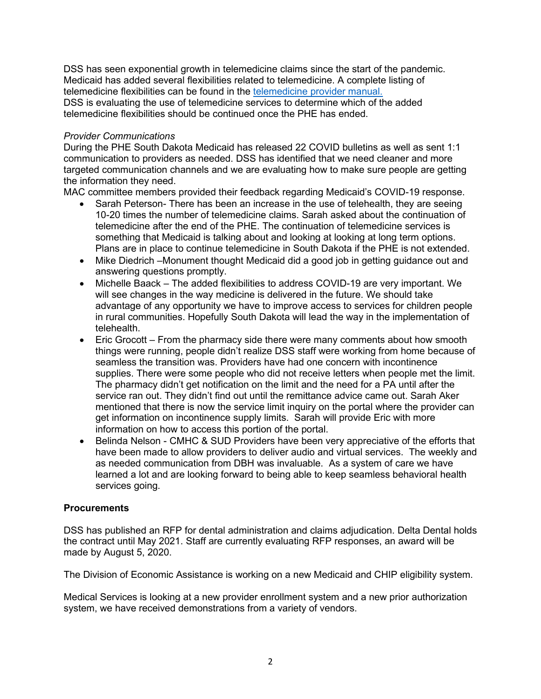DSS has seen exponential growth in telemedicine claims since the start of the pandemic. Medicaid has added several flexibilities related to telemedicine. A complete listing of telemedicine flexibilities can be found in the [telemedicine provider manual.](https://dss.sd.gov/docs/medicaid/providers/billingmanuals/Telemedicine.pdf) DSS is evaluating the use of telemedicine services to determine which of the added telemedicine flexibilities should be continued once the PHE has ended.

# *Provider Communications*

During the PHE South Dakota Medicaid has released 22 COVID bulletins as well as sent 1:1 communication to providers as needed. DSS has identified that we need cleaner and more targeted communication channels and we are evaluating how to make sure people are getting the information they need.

MAC committee members provided their feedback regarding Medicaid's COVID-19 response.

- Sarah Peterson- There has been an increase in the use of telehealth, they are seeing 10-20 times the number of telemedicine claims. Sarah asked about the continuation of telemedicine after the end of the PHE. The continuation of telemedicine services is something that Medicaid is talking about and looking at looking at long term options. Plans are in place to continue telemedicine in South Dakota if the PHE is not extended.
- Mike Diedrich Monument thought Medicaid did a good job in getting guidance out and answering questions promptly.
- Michelle Baack The added flexibilities to address COVID-19 are very important. We will see changes in the way medicine is delivered in the future. We should take advantage of any opportunity we have to improve access to services for children people in rural communities. Hopefully South Dakota will lead the way in the implementation of telehealth.
- Eric Grocott From the pharmacy side there were many comments about how smooth things were running, people didn't realize DSS staff were working from home because of seamless the transition was. Providers have had one concern with incontinence supplies. There were some people who did not receive letters when people met the limit. The pharmacy didn't get notification on the limit and the need for a PA until after the service ran out. They didn't find out until the remittance advice came out. Sarah Aker mentioned that there is now the service limit inquiry on the portal where the provider can get information on incontinence supply limits. Sarah will provide Eric with more information on how to access this portion of the portal.
- Belinda Nelson CMHC & SUD Providers have been very appreciative of the efforts that have been made to allow providers to deliver audio and virtual services. The weekly and as needed communication from DBH was invaluable. As a system of care we have learned a lot and are looking forward to being able to keep seamless behavioral health services going.

# **Procurements**

DSS has published an RFP for dental administration and claims adjudication. Delta Dental holds the contract until May 2021. Staff are currently evaluating RFP responses, an award will be made by August 5, 2020.

The Division of Economic Assistance is working on a new Medicaid and CHIP eligibility system.

Medical Services is looking at a new provider enrollment system and a new prior authorization system, we have received demonstrations from a variety of vendors.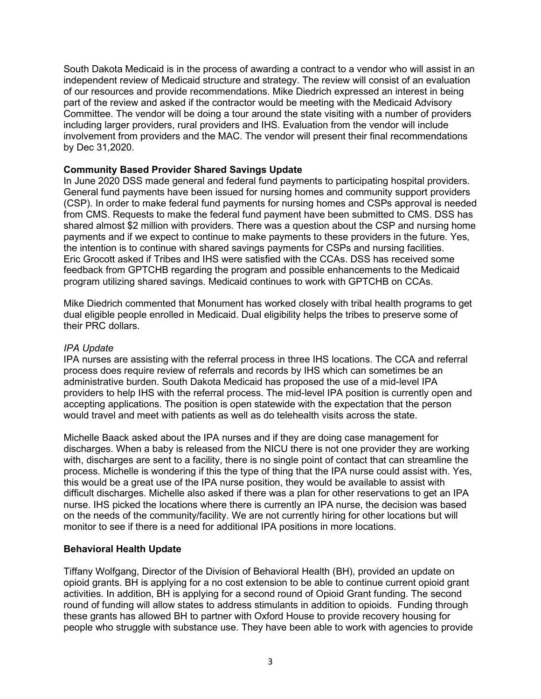South Dakota Medicaid is in the process of awarding a contract to a vendor who will assist in an independent review of Medicaid structure and strategy. The review will consist of an evaluation of our resources and provide recommendations. Mike Diedrich expressed an interest in being part of the review and asked if the contractor would be meeting with the Medicaid Advisory Committee. The vendor will be doing a tour around the state visiting with a number of providers including larger providers, rural providers and IHS. Evaluation from the vendor will include involvement from providers and the MAC. The vendor will present their final recommendations by Dec 31,2020.

# **Community Based Provider Shared Savings Update**

In June 2020 DSS made general and federal fund payments to participating hospital providers. General fund payments have been issued for nursing homes and community support providers (CSP). In order to make federal fund payments for nursing homes and CSPs approval is needed from CMS. Requests to make the federal fund payment have been submitted to CMS. DSS has shared almost \$2 million with providers. There was a question about the CSP and nursing home payments and if we expect to continue to make payments to these providers in the future. Yes, the intention is to continue with shared savings payments for CSPs and nursing facilities. Eric Grocott asked if Tribes and IHS were satisfied with the CCAs. DSS has received some feedback from GPTCHB regarding the program and possible enhancements to the Medicaid program utilizing shared savings. Medicaid continues to work with GPTCHB on CCAs.

Mike Diedrich commented that Monument has worked closely with tribal health programs to get dual eligible people enrolled in Medicaid. Dual eligibility helps the tribes to preserve some of their PRC dollars.

### *IPA Update*

IPA nurses are assisting with the referral process in three IHS locations. The CCA and referral process does require review of referrals and records by IHS which can sometimes be an administrative burden. South Dakota Medicaid has proposed the use of a mid-level IPA providers to help IHS with the referral process. The mid-level IPA position is currently open and accepting applications. The position is open statewide with the expectation that the person would travel and meet with patients as well as do telehealth visits across the state.

Michelle Baack asked about the IPA nurses and if they are doing case management for discharges. When a baby is released from the NICU there is not one provider they are working with, discharges are sent to a facility, there is no single point of contact that can streamline the process. Michelle is wondering if this the type of thing that the IPA nurse could assist with. Yes, this would be a great use of the IPA nurse position, they would be available to assist with difficult discharges. Michelle also asked if there was a plan for other reservations to get an IPA nurse. IHS picked the locations where there is currently an IPA nurse, the decision was based on the needs of the community/facility. We are not currently hiring for other locations but will monitor to see if there is a need for additional IPA positions in more locations.

# **Behavioral Health Update**

Tiffany Wolfgang, Director of the Division of Behavioral Health (BH), provided an update on opioid grants. BH is applying for a no cost extension to be able to continue current opioid grant activities. In addition, BH is applying for a second round of Opioid Grant funding. The second round of funding will allow states to address stimulants in addition to opioids. Funding through these grants has allowed BH to partner with Oxford House to provide recovery housing for people who struggle with substance use. They have been able to work with agencies to provide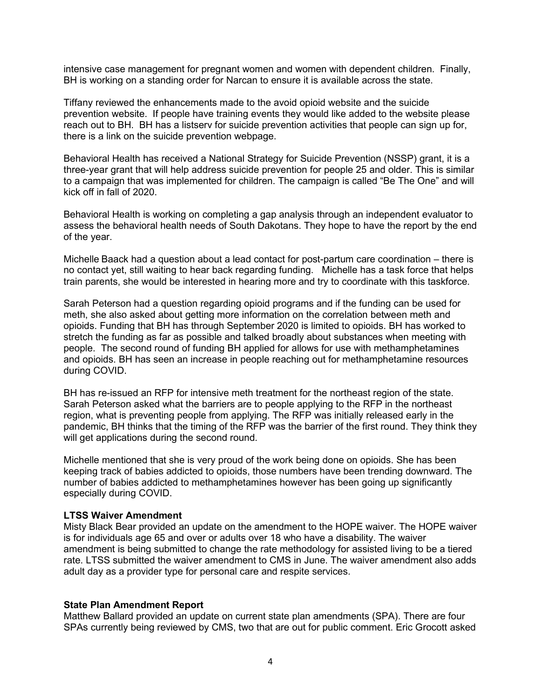intensive case management for pregnant women and women with dependent children. Finally, BH is working on a standing order for Narcan to ensure it is available across the state.

Tiffany reviewed the enhancements made to the avoid opioid website and the suicide prevention website. If people have training events they would like added to the website please reach out to BH. BH has a listserv for suicide prevention activities that people can sign up for, there is a link on the suicide prevention webpage.

Behavioral Health has received a National Strategy for Suicide Prevention (NSSP) grant, it is a three-year grant that will help address suicide prevention for people 25 and older. This is similar to a campaign that was implemented for children. The campaign is called "Be The One" and will kick off in fall of 2020.

Behavioral Health is working on completing a gap analysis through an independent evaluator to assess the behavioral health needs of South Dakotans. They hope to have the report by the end of the year.

Michelle Baack had a question about a lead contact for post-partum care coordination – there is no contact yet, still waiting to hear back regarding funding. Michelle has a task force that helps train parents, she would be interested in hearing more and try to coordinate with this taskforce.

Sarah Peterson had a question regarding opioid programs and if the funding can be used for meth, she also asked about getting more information on the correlation between meth and opioids. Funding that BH has through September 2020 is limited to opioids. BH has worked to stretch the funding as far as possible and talked broadly about substances when meeting with people. The second round of funding BH applied for allows for use with methamphetamines and opioids. BH has seen an increase in people reaching out for methamphetamine resources during COVID.

BH has re-issued an RFP for intensive meth treatment for the northeast region of the state. Sarah Peterson asked what the barriers are to people applying to the RFP in the northeast region, what is preventing people from applying. The RFP was initially released early in the pandemic, BH thinks that the timing of the RFP was the barrier of the first round. They think they will get applications during the second round.

Michelle mentioned that she is very proud of the work being done on opioids. She has been keeping track of babies addicted to opioids, those numbers have been trending downward. The number of babies addicted to methamphetamines however has been going up significantly especially during COVID.

### **LTSS Waiver Amendment**

Misty Black Bear provided an update on the amendment to the HOPE waiver. The HOPE waiver is for individuals age 65 and over or adults over 18 who have a disability. The waiver amendment is being submitted to change the rate methodology for assisted living to be a tiered rate. LTSS submitted the waiver amendment to CMS in June. The waiver amendment also adds adult day as a provider type for personal care and respite services.

#### **State Plan Amendment Report**

Matthew Ballard provided an update on current state plan amendments (SPA). There are four SPAs currently being reviewed by CMS, two that are out for public comment. Eric Grocott asked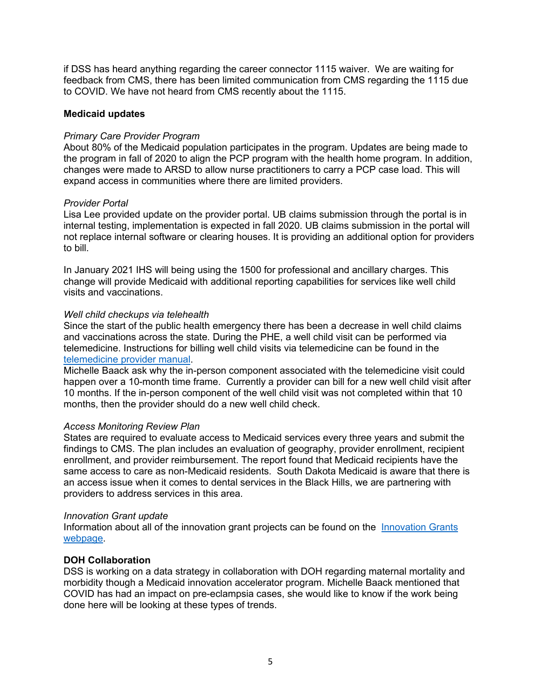if DSS has heard anything regarding the career connector 1115 waiver. We are waiting for feedback from CMS, there has been limited communication from CMS regarding the 1115 due to COVID. We have not heard from CMS recently about the 1115.

# **Medicaid updates**

### *Primary Care Provider Program*

About 80% of the Medicaid population participates in the program. Updates are being made to the program in fall of 2020 to align the PCP program with the health home program. In addition, changes were made to ARSD to allow nurse practitioners to carry a PCP case load. This will expand access in communities where there are limited providers.

# *Provider Portal*

Lisa Lee provided update on the provider portal. UB claims submission through the portal is in internal testing, implementation is expected in fall 2020. UB claims submission in the portal will not replace internal software or clearing houses. It is providing an additional option for providers to bill.

In January 2021 IHS will being using the 1500 for professional and ancillary charges. This change will provide Medicaid with additional reporting capabilities for services like well child visits and vaccinations.

# *Well child checkups via telehealth*

Since the start of the public health emergency there has been a decrease in well child claims and vaccinations across the state. During the PHE, a well child visit can be performed via telemedicine. Instructions for billing well child visits via telemedicine can be found in the telemedicine provider manual.

Michelle Baack ask why the in-person component associated with the telemedicine visit could happen over a 10-month time frame. Currently a provider can bill for a new well child visit after 10 months. If the in-person component of the well child visit was not completed within that 10 months, then the provider should do a new well child check.

#### *Access Monitoring Review Plan*

States are required to evaluate access to Medicaid services every three years and submit the findings to CMS. The plan includes an evaluation of geography, provider enrollment, recipient enrollment, and provider reimbursement. The report found that Medicaid recipients have the same access to care as non-Medicaid residents. South Dakota Medicaid is aware that there is an access issue when it comes to dental services in the Black Hills, we are partnering with providers to address services in this area.

#### *Innovation Grant update*

Information about all of the innovation grant projects can be found on the [Innovation Grants](https://dss.sd.gov/medicaid/generalinfo/innovationgrantactivities.aspx)  [webpage.](https://dss.sd.gov/medicaid/generalinfo/innovationgrantactivities.aspx)

# **DOH Collaboration**

DSS is working on a data strategy in collaboration with DOH regarding maternal mortality and morbidity though a Medicaid innovation accelerator program. Michelle Baack mentioned that COVID has had an impact on pre-eclampsia cases, she would like to know if the work being done here will be looking at these types of trends.